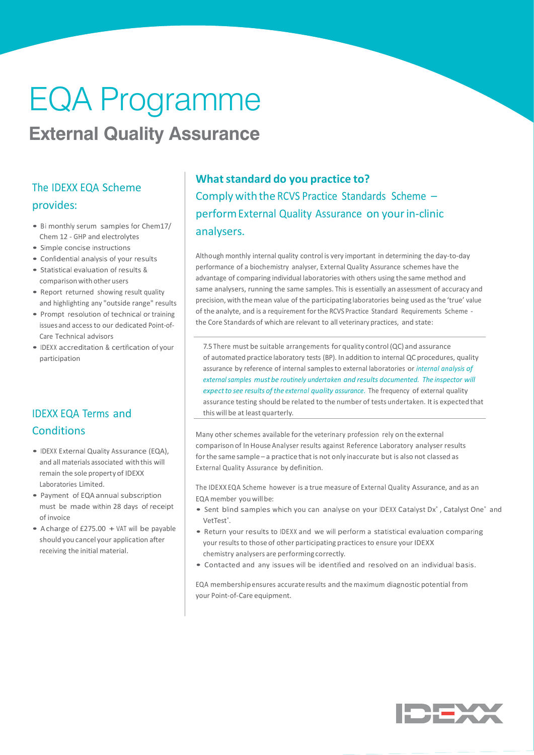# EQA Programme **EQA Programme**

# **External Quality Assurance**

### The IDEXX EQA Scheme provides:

- Bi monthly serum samples for Chem17/ Chem 12 - GHP and electrolytes
- Simple concise instructions
- Confidential analysis of your results
- Statistical evaluation of results & comparison with other users
- Report returned showing result quality and highlighting any "outside range" results
- Prompt resolution of technical or training issues and access to our dedicated Point-of-Care Technical advisors
- IDEXX accreditation & certification of your participation

### IDEXX EQA Terms and **Conditions**

- IDEXX External Quality Assurance (EQA), and all materials associated with this will remain the sole property of IDEXX Laboratories Limited.
- Payment of EQA annual subscription must be made within 28 days of receipt of invoice
- A charge of  $£275.00 + VA$ T will be payable should you cancel your application after receiving the initial material.

## **What standard do you practice to?** Comply with the RCVS Practice Standards Scheme – performExternal Quality Assurance on your in-clinic analysers.

Although monthly internal quality control is very important in determining the day-to-day performance of a biochemistry analyser, External Quality Assurance schemes have the advantage of comparing individual laboratories with others using the same method and same analysers, running the same samples. This is essentially an assessment of accuracy and precision, with the mean value of the participating laboratories being used as the 'true' value of the analyte, and is a requirement for the RCVS Practice Standard Requirements Scheme the Core Standards of which are relevant to all veterinary practices, and state:

7.5 There must be suitable arrangements for quality control (QC) and assurance of automated practice laboratory tests (BP). In addition to internal QC procedures, quality assurance by reference of internal samples to external laboratories or *internal analysis of external samples must be routinely undertaken and results documented. The inspector will expect to see results of the external quality assurance*. The frequency of external quality assurance testing should be related to the number of tests undertaken. It is expected that this will be at least quarterly.

Many other schemes available for the veterinary profession rely on the external comparison of In House Analyser results against Reference Laboratory analyser results for the same sample - a practice that is not only inaccurate but is also not classed as External Quality Assurance by definition.

The IDEXX EQA Scheme however is a true measure of External Quality Assurance, and as an EQA member you will be:

- Sent blind samples which you can analyse on your IDEXX Catalyst Dx°, Catalyst One° and VetTest<sup>®</sup>.
- Return your results to IDEXX and we will perform a statistical evaluation comparing your results to those of other participating practices to ensure your IDEXX chemistry analysers are performing correctly.
- Contacted and any issues will be identified and resolved on an individual basis.

EQA membership ensures accurate results and the maximum diagnostic potential from your Point-of-Care equipment.

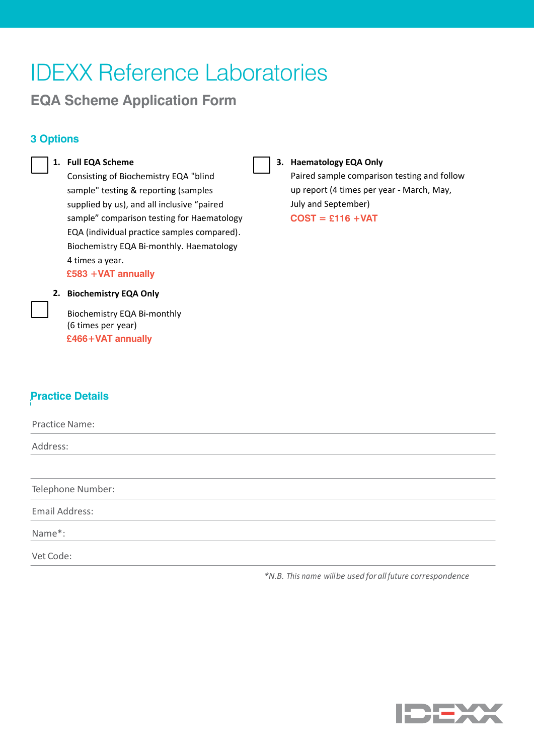# IDEXX Reference Laboratories

**EQA Scheme Application Form**

# **3 Options: 3 Options**

#### **1. Full EQA Scheme**

Consisting of Biochemistry EQA "blind sample" testing & reporting (samples supplied by us), and all inclusive "paired sample" comparison testing for Haematology EQA (individual practice samples compared). Biochemistry EQA Bi‐monthly. Haematology 4 times a year. **£583 +VAT annually**

**3. Haematology EQA Only** Paired sample comparison testing and follow up report (4 times per year - March, May, July and September) **COST = £116 +VAT** 

#### **2. Biochemistry EQA Only**

EQA Scheme Application Form

Biochemistry EQA Bi-monthly<br>
(6 times per year) (6 times per year) **£466+VAT annually**

#### **Practice Details Practice Details**

Practice Name: Address: Telephone Number: Email Address: Name\*: Vet Code: **Dup office Nouse:** or •••••••••••••••••••••••••••••••••••••••••••••••••••••••••••••••••••••••• ••••••••••••••••• • •••••• • • • • ‐mail **karen-lumb@idexx.com** for further information

*\*N.B. This name will be used for all future correspondence*